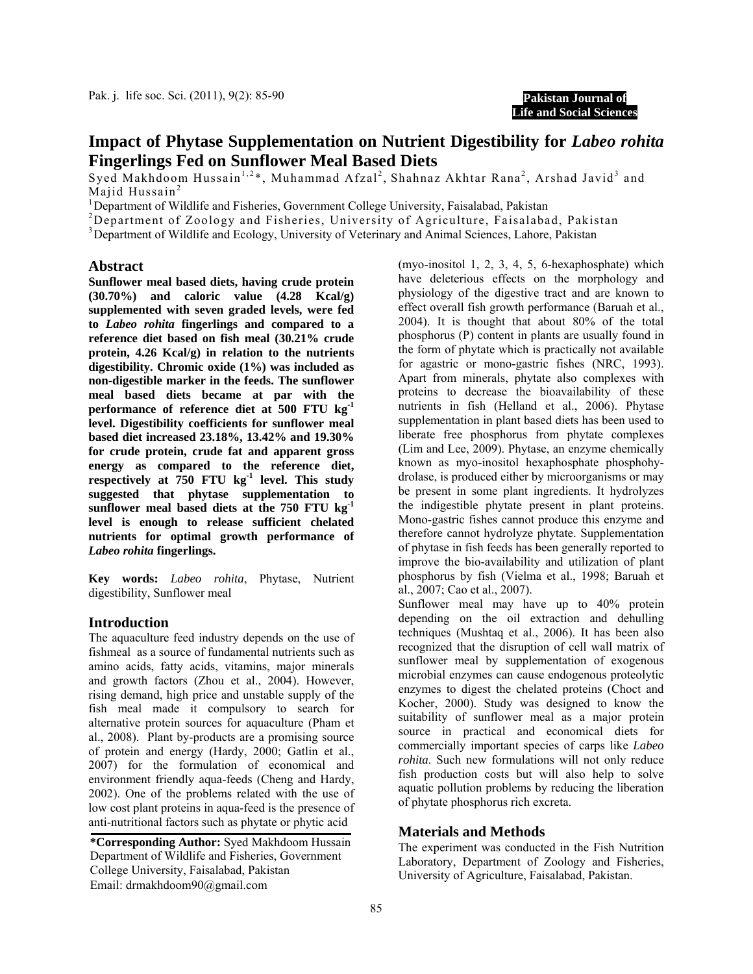**Pakistan Journal of Life and Social Sciences**

# **Impact of Phytase Supplementation on Nutrient Digestibility for** *Labeo rohita* **Fingerlings Fed on Sunflower Meal Based Diets**

Syed Makhdoom Hussain<sup>1,2\*</sup>, Muhammad Afzal<sup>2</sup>, Shahnaz Akhtar Rana<sup>2</sup>, Arshad Javid<sup>3</sup> and Majid Hussain<sup>2</sup><br><sup>1</sup> Department of Wil

<sup>1</sup> Department of Wildlife and Fisheries, Government College University, Faisalabad, Pakistan

<sup>2</sup>Department of Zoology and Fisheries, University of Agriculture, Faisalabad, Pakistan

<sup>3</sup> Department of Wildlife and Ecology, University of Veterinary and Animal Sciences, Lahore, Pakistan

#### **Abstract**

**Sunflower meal based diets, having crude protein (30.70%) and caloric value (4.28 Kcal/g) supplemented with seven graded levels, were fed to** *Labeo rohita* **fingerlings and compared to a reference diet based on fish meal (30.21% crude protein, 4.26 Kcal/g) in relation to the nutrients digestibility. Chromic oxide (1%) was included as non-digestible marker in the feeds. The sunflower meal based diets became at par with the performance of reference diet at 500 FTU kg-1 level. Digestibility coefficients for sunflower meal based diet increased 23.18%, 13.42% and 19.30% for crude protein, crude fat and apparent gross energy as compared to the reference diet, respectively at 750 FTU kg-1 level. This study suggested that phytase supplementation to sunflower meal based diets at the 750 FTU kg-1 level is enough to release sufficient chelated nutrients for optimal growth performance of**  *Labeo rohita* **fingerlings.** 

**Key words:** *Labeo rohita*, Phytase, Nutrient digestibility, Sunflower meal

## **Introduction**

The aquaculture feed industry depends on the use of fishmeal as a source of fundamental nutrients such as amino acids, fatty acids, vitamins, major minerals and growth factors (Zhou et al., 2004). However, rising demand, high price and unstable supply of the fish meal made it compulsory to search for alternative protein sources for aquaculture (Pham et al., 2008). Plant by-products are a promising source of protein and energy (Hardy, 2000; Gatlin et al., 2007) for the formulation of economical and environment friendly aqua-feeds (Cheng and Hardy, 2002). One of the problems related with the use of low cost plant proteins in aqua-feed is the presence of anti-nutritional factors such as phytate or phytic acid

**\*Corresponding Author:** Syed Makhdoom Hussain Department of Wildlife and Fisheries, Government College University, Faisalabad, Pakistan Email: drmakhdoom90@gmail.com

(myo-inositol 1, 2, 3, 4, 5, 6-hexaphosphate) which have deleterious effects on the morphology and physiology of the digestive tract and are known to effect overall fish growth performance (Baruah et al., 2004). It is thought that about 80% of the total phosphorus (P) content in plants are usually found in the form of phytate which is practically not available for agastric or mono-gastric fishes (NRC, 1993). Apart from minerals, phytate also complexes with proteins to decrease the bioavailability of these nutrients in fish (Helland et al., 2006). Phytase supplementation in plant based diets has been used to liberate free phosphorus from phytate complexes (Lim and Lee, 2009). Phytase, an enzyme chemically known as myo-inositol hexaphosphate phosphohydrolase, is produced either by microorganisms or may be present in some plant ingredients. It hydrolyzes the indigestible phytate present in plant proteins. Mono-gastric fishes cannot produce this enzyme and therefore cannot hydrolyze phytate. Supplementation of phytase in fish feeds has been generally reported to improve the bio-availability and utilization of plant phosphorus by fish (Vielma et al., 1998; Baruah et al., 2007; Cao et al., 2007).

Sunflower meal may have up to 40% protein depending on the oil extraction and dehulling techniques (Mushtaq et al., 2006). It has been also recognized that the disruption of cell wall matrix of sunflower meal by supplementation of exogenous microbial enzymes can cause endogenous proteolytic enzymes to digest the chelated proteins (Choct and Kocher, 2000). Study was designed to know the suitability of sunflower meal as a major protein source in practical and economical diets for commercially important species of carps like *Labeo rohita*. Such new formulations will not only reduce fish production costs but will also help to solve aquatic pollution problems by reducing the liberation of phytate phosphorus rich excreta.

## **Materials and Methods**

The experiment was conducted in the Fish Nutrition Laboratory, Department of Zoology and Fisheries, University of Agriculture, Faisalabad, Pakistan.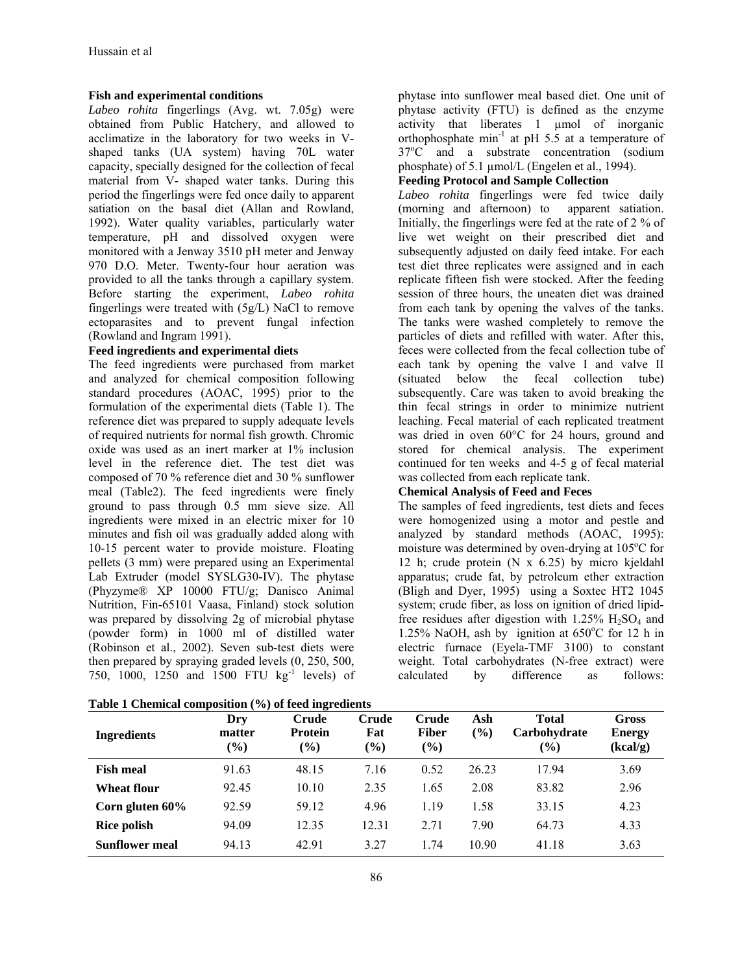#### **Fish and experimental conditions**

*Labeo rohita* fingerlings (Avg. wt. 7.05g) were obtained from Public Hatchery, and allowed to acclimatize in the laboratory for two weeks in Vshaped tanks (UA system) having 70L water capacity, specially designed for the collection of fecal material from V- shaped water tanks. During this period the fingerlings were fed once daily to apparent satiation on the basal diet (Allan and Rowland, 1992). Water quality variables, particularly water temperature, pH and dissolved oxygen were monitored with a Jenway 3510 pH meter and Jenway 970 D.O. Meter. Twenty-four hour aeration was provided to all the tanks through a capillary system. Before starting the experiment, *Labeo rohita* fingerlings were treated with (5g/L) NaCl to remove ectoparasites and to prevent fungal infection (Rowland and Ingram 1991).

#### **Feed ingredients and experimental diets**

The feed ingredients were purchased from market and analyzed for chemical composition following standard procedures (AOAC, 1995) prior to the formulation of the experimental diets (Table 1). The reference diet was prepared to supply adequate levels of required nutrients for normal fish growth. Chromic oxide was used as an inert marker at 1% inclusion level in the reference diet. The test diet was composed of 70 % reference diet and 30 % sunflower meal (Table2). The feed ingredients were finely ground to pass through 0.5 mm sieve size. All ingredients were mixed in an electric mixer for 10 minutes and fish oil was gradually added along with 10-15 percent water to provide moisture. Floating pellets (3 mm) were prepared using an Experimental Lab Extruder (model SYSLG30-IV). The phytase (Phyzyme® XP 10000 FTU/g; Danisco Animal Nutrition, Fin-65101 Vaasa, Finland) stock solution was prepared by dissolving 2g of microbial phytase (powder form) in 1000 ml of distilled water (Robinson et al., 2002). Seven sub-test diets were then prepared by spraying graded levels (0, 250, 500, 750, 1000, 1250 and 1500 FTU kg<sup>-1</sup> levels) of

|  | Table 1 Chemical composition (%) of feed ingredients |  |  |
|--|------------------------------------------------------|--|--|
|  |                                                      |  |  |

phytase into sunflower meal based diet. One unit of phytase activity (FTU) is defined as the enzyme activity that liberates 1 µmol of inorganic orthophosphate min<sup>-1</sup> at pH  $5.\overline{5}$  at a temperature of 37°C and a substrate concentration (sodium phosphate) of 5.1 µmol/L (Engelen et al., 1994).

# **Feeding Protocol and Sample Collection**

*Labeo rohita* fingerlings were fed twice daily (morning and afternoon) to apparent satiation. Initially, the fingerlings were fed at the rate of 2 % of live wet weight on their prescribed diet and subsequently adjusted on daily feed intake. For each test diet three replicates were assigned and in each replicate fifteen fish were stocked. After the feeding session of three hours, the uneaten diet was drained from each tank by opening the valves of the tanks. The tanks were washed completely to remove the particles of diets and refilled with water. After this, feces were collected from the fecal collection tube of each tank by opening the valve I and valve II (situated below the fecal collection tube) subsequently. Care was taken to avoid breaking the thin fecal strings in order to minimize nutrient leaching. Fecal material of each replicated treatment was dried in oven 60°C for 24 hours, ground and stored for chemical analysis. The experiment continued for ten weeks and 4-5 g of fecal material was collected from each replicate tank.

## **Chemical Analysis of Feed and Feces**

The samples of feed ingredients, test diets and feces were homogenized using a motor and pestle and analyzed by standard methods (AOAC, 1995): moisture was determined by oven-drying at 105°C for 12 h; crude protein (N x 6.25) by micro kjeldahl apparatus; crude fat, by petroleum ether extraction (Bligh and Dyer, 1995) using a Soxtec HT2 1045 system; crude fiber, as loss on ignition of dried lipidfree residues after digestion with  $1.25\%$  H<sub>2</sub>SO<sub>4</sub> and 1.25% NaOH, ash by ignition at  $650^{\circ}$ C for 12 h in electric furnace (Eyela-TMF 3100) to constant weight. Total carbohydrates (N-free extract) were calculated by difference as follows:

| <b>Ingredients</b>    | Dry<br>matter<br>$(\%)$ | Crude<br><b>Protein</b><br>$(\%)$ | Crude<br>Fat<br>$(\%)$ | Crude<br><b>Fiber</b><br>(%) | Ash<br>$\frac{6}{2}$ | <b>Total</b><br>Carbohydrate<br>$\mathcal{O}_0$ | Gross<br><b>Energy</b><br>(kcal/g) |
|-----------------------|-------------------------|-----------------------------------|------------------------|------------------------------|----------------------|-------------------------------------------------|------------------------------------|
| <b>Fish meal</b>      | 91.63                   | 48.15                             | 7.16                   | 0.52                         | 26.23                | 17.94                                           | 3.69                               |
| <b>Wheat flour</b>    | 92.45                   | 10.10                             | 2.35                   | 1.65                         | 2.08                 | 83.82                                           | 2.96                               |
| Corn gluten 60%       | 92.59                   | 59.12                             | 4.96                   | 1.19                         | 1.58                 | 33.15                                           | 4.23                               |
| <b>Rice polish</b>    | 94.09                   | 12.35                             | 12.31                  | 2.71                         | 7.90                 | 64.73                                           | 4.33                               |
| <b>Sunflower meal</b> | 94.13                   | 42.91                             | 3.27                   | 1.74                         | 10.90                | 41.18                                           | 3.63                               |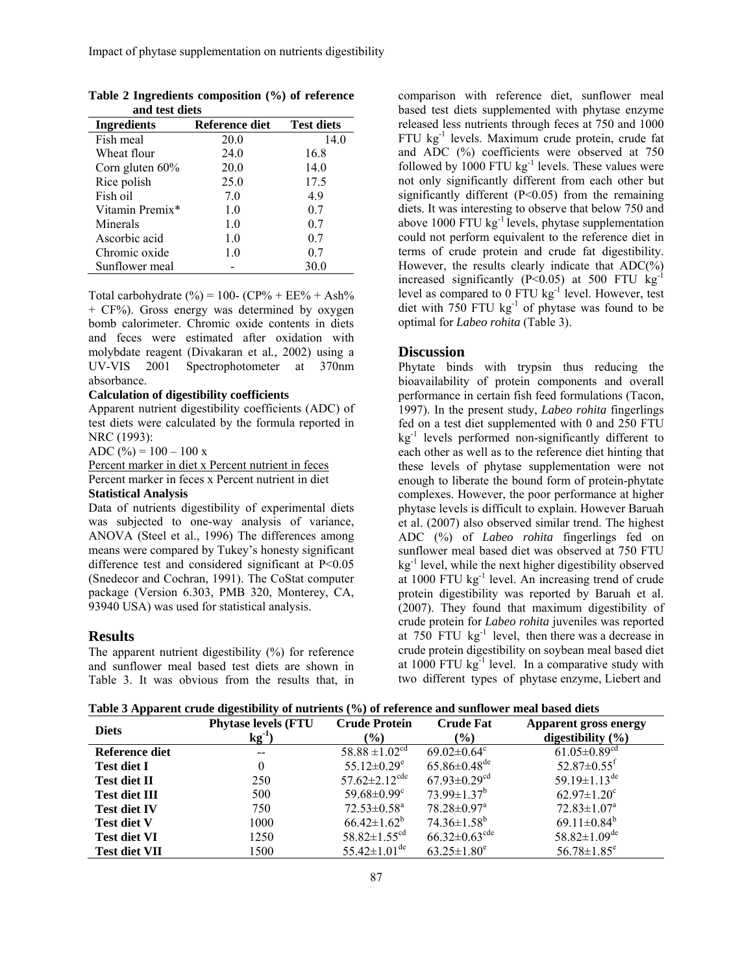| Reference diet | <b>Test diets</b> |
|----------------|-------------------|
| 20.0           | 14.0              |
| 24.0           | 16.8              |
| 20.0           | 14.0              |
| 25.0           | 17.5              |
| 7.0            | 4.9               |
| 1.0            | 0.7               |
| 1.0            | 0.7               |
| 1.0            | 0.7               |
| 1.0            | 0.7               |
|                | 30.0              |
|                |                   |

**Table 2 Ingredients composition (%) of reference and test diets** 

Total carbohydrate  $(\% ) = 100 - (CP\% + EE\% + Ash\% )$ + CF%). Gross energy was determined by oxygen bomb calorimeter. Chromic oxide contents in diets and feces were estimated after oxidation with molybdate reagent (Divakaran et al*.*, 2002) using a UV-VIS 2001 Spectrophotometer at 370nm absorbance.

#### **Calculation of digestibility coefficients**

Apparent nutrient digestibility coefficients (ADC) of test diets were calculated by the formula reported in NRC (1993):

ADC (%) =  $100 - 100$  x

Percent marker in diet x Percent nutrient in feces Percent marker in feces x Percent nutrient in diet

#### **Statistical Analysis**

Data of nutrients digestibility of experimental diets was subjected to one-way analysis of variance, ANOVA (Steel et al., 1996) The differences among means were compared by Tukey's honesty significant difference test and considered significant at P<0.05 (Snedecor and Cochran, 1991). The CoStat computer package (Version 6.303, PMB 320, Monterey, CA, 93940 USA) was used for statistical analysis.

#### **Results**

The apparent nutrient digestibility (%) for reference and sunflower meal based test diets are shown in Table 3. It was obvious from the results that, in comparison with reference diet, sunflower meal based test diets supplemented with phytase enzyme released less nutrients through feces at 750 and 1000 FTU kg-1 levels. Maximum crude protein, crude fat and ADC (%) coefficients were observed at 750 followed by 1000 FTU  $kg^{-1}$  levels. These values were not only significantly different from each other but significantly different  $(P<0.05)$  from the remaining diets. It was interesting to observe that below 750 and above 1000 FTU  $kg^{-1}$  levels, phytase supplementation could not perform equivalent to the reference diet in terms of crude protein and crude fat digestibility. However, the results clearly indicate that  $ADC(\%)$ increased significantly (P<0.05) at 500 FTU  $kg^{-1}$ level as compared to  $0$  FTU kg<sup>-1</sup> level. However, test diet with  $750$  FTU kg<sup>-1</sup> of phytase was found to be optimal for *Labeo rohita* (Table 3).

## **Discussion**

Phytate binds with trypsin thus reducing the bioavailability of protein components and overall performance in certain fish feed formulations (Tacon, 1997). In the present study, *Labeo rohita* fingerlings fed on a test diet supplemented with 0 and 250 FTU  $kg<sup>-1</sup>$  levels performed non-significantly different to each other as well as to the reference diet hinting that these levels of phytase supplementation were not enough to liberate the bound form of protein-phytate complexes. However, the poor performance at higher phytase levels is difficult to explain. However Baruah et al. (2007) also observed similar trend. The highest ADC (%) of *Labeo rohita* fingerlings fed on sunflower meal based diet was observed at 750 FTU  $kg<sup>-1</sup>$  level, while the next higher digestibility observed at 1000 FTU kg-1 level. An increasing trend of crude protein digestibility was reported by Baruah et al. (2007). They found that maximum digestibility of crude protein for *Labeo rohita* juveniles was reported at  $750$  FTU kg<sup>-1</sup> level, then there was a decrease in crude protein digestibility on soybean meal based diet at  $1000$  FTU kg $^{-1}$  level. In a comparative study with two different types of phytase enzyme, Liebert and

| Table 3 Apparent crude digestibility of nutrients (%) of reference and sunflower meal based diets |  |  |  |
|---------------------------------------------------------------------------------------------------|--|--|--|
|                                                                                                   |  |  |  |

| <b>Diets</b>         | <b>Phytase levels (FTU)</b> | <b>Crude Protein</b>            | <b>Crude Fat</b>                | <b>Apparent gross energy</b>   |  |
|----------------------|-----------------------------|---------------------------------|---------------------------------|--------------------------------|--|
|                      | $kg^{-1}$                   | $(\%)$                          | $($ %)                          | digestibility $(\% )$          |  |
| Reference diet       | $- -$                       | 58.88 $\pm 1.02$ <sup>cd</sup>  | $69.02 \pm 0.64$ °              | $61.05 \pm 0.89$ <sup>cd</sup> |  |
| <b>Test diet I</b>   | 0                           | $55.12 \pm 0.29$ <sup>e</sup>   | $65.86 \pm 0.48$ <sup>de</sup>  | $52.87 \pm 0.55$ <sup>f</sup>  |  |
| <b>Test diet II</b>  | 250                         | $57.62 \pm 2.12$ <sup>cde</sup> | $67.93 \pm 0.29$ <sup>cd</sup>  | 59.19 $\pm$ 1.13 <sup>de</sup> |  |
| <b>Test diet III</b> | 500                         | 59.68 $\pm$ 0.99 $\text{°}$     | $73.99 \pm 1.37^b$              | $62.97 \pm 1.20$ <sup>c</sup>  |  |
| <b>Test diet IV</b>  | 750                         | $72.53 \pm 0.58$ <sup>a</sup>   | $78.28 \pm 0.97$ <sup>a</sup>   | $72.83 \pm 1.07$ <sup>a</sup>  |  |
| <b>Test diet V</b>   | 1000                        | $66.42 \pm 1.62^b$              | $74.36 \pm 1.58^b$              | $69.11 \pm 0.84^b$             |  |
| <b>Test diet VI</b>  | 1250                        | $58.82 \pm 1.55$ <sup>cd</sup>  | $66.32 \pm 0.63$ <sup>cde</sup> | $58.82 \pm 1.09$ <sup>de</sup> |  |
| <b>Test diet VII</b> | 1500                        | 55.42 $\pm$ 1.01 <sup>de</sup>  | $63.25 \pm 1.80^e$              | $56.78 \pm 1.85$ <sup>e</sup>  |  |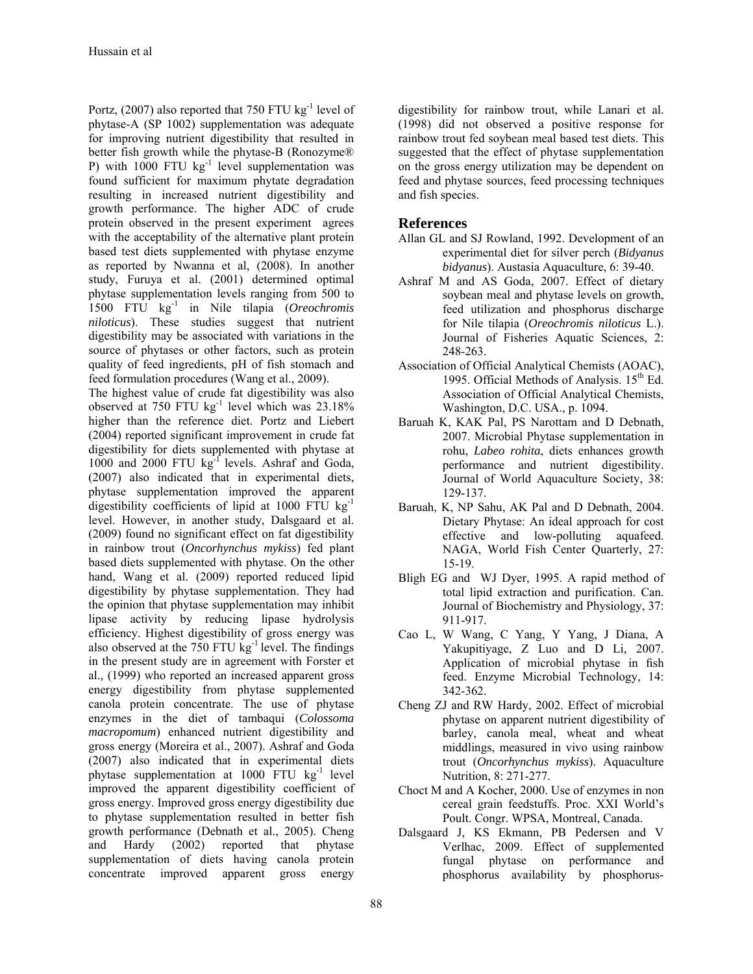Portz,  $(2007)$  also reported that 750 FTU kg<sup>-1</sup> level of phytase-A (SP 1002) supplementation was adequate for improving nutrient digestibility that resulted in better fish growth while the phytase-B (Ronozyme® P) with 1000 FTU  $kg^{-1}$  level supplementation was found sufficient for maximum phytate degradation resulting in increased nutrient digestibility and growth performance. The higher ADC of crude protein observed in the present experiment agrees with the acceptability of the alternative plant protein based test diets supplemented with phytase enzyme as reported by Nwanna et al, (2008). In another study, Furuya et al. (2001) determined optimal phytase supplementation levels ranging from 500 to 1500 FTU kg-1 in Nile tilapia (*Oreochromis niloticus*). These studies suggest that nutrient digestibility may be associated with variations in the source of phytases or other factors, such as protein quality of feed ingredients, pH of fish stomach and feed formulation procedures (Wang et al., 2009). The highest value of crude fat digestibility was also observed at 750 FTU  $kg^{-1}$  level which was 23.18% higher than the reference diet. Portz and Liebert (2004) reported significant improvement in crude fat digestibility for diets supplemented with phytase at 1000 and 2000 FTU kg<sup>-1</sup> levels. Ashraf and Goda, (2007) also indicated that in experimental diets, phytase supplementation improved the apparent digestibility coefficients of lipid at 1000 FTU  $kg^{-1}$ level. However, in another study, Dalsgaard et al. (2009) found no significant effect on fat digestibility in rainbow trout (*Oncorhynchus mykiss*) fed plant based diets supplemented with phytase. On the other hand, Wang et al. (2009) reported reduced lipid digestibility by phytase supplementation. They had the opinion that phytase supplementation may inhibit lipase activity by reducing lipase hydrolysis efficiency. Highest digestibility of gross energy was also observed at the 750 FTU  $kg^{-1}$  level. The findings in the present study are in agreement with Forster et al., (1999) who reported an increased apparent gross energy digestibility from phytase supplemented canola protein concentrate. The use of phytase enzymes in the diet of tambaqui (*Colossoma macropomum*) enhanced nutrient digestibility and gross energy (Moreira et al., 2007). Ashraf and Goda (2007) also indicated that in experimental diets phytase supplementation at  $1000$  FTU kg<sup>-1</sup> level improved the apparent digestibility coefficient of gross energy. Improved gross energy digestibility due to phytase supplementation resulted in better fish growth performance (Debnath et al., 2005). Cheng and Hardy (2002) reported that phytase supplementation of diets having canola protein concentrate improved apparent gross energy

digestibility for rainbow trout, while Lanari et al. (1998) did not observed a positive response for rainbow trout fed soybean meal based test diets. This suggested that the effect of phytase supplementation on the gross energy utilization may be dependent on feed and phytase sources, feed processing techniques and fish species.

# **References**

- Allan GL and SJ Rowland, 1992. Development of an experimental diet for silver perch (*Bidyanus bidyanus*). Austasia Aquaculture, 6: 39-40.
- Ashraf M and AS Goda, 2007. Effect of dietary soybean meal and phytase levels on growth, feed utilization and phosphorus discharge for Nile tilapia (*Oreochromis niloticus* L.). Journal of Fisheries Aquatic Sciences, 2: 248-263.
- Association of Official Analytical Chemists (AOAC), 1995. Official Methods of Analysis.  $15<sup>th</sup>$  Ed. Association of Official Analytical Chemists, Washington, D.C. USA., p. 1094.
- Baruah K, KAK Pal, PS Narottam and D Debnath, 2007. Microbial Phytase supplementation in rohu, *Labeo rohita*, diets enhances growth performance and nutrient digestibility. Journal of World Aquaculture Society, 38: 129-137.
- Baruah, K, NP Sahu, AK Pal and D Debnath, 2004. Dietary Phytase: An ideal approach for cost effective and low-polluting aquafeed. NAGA, World Fish Center Quarterly, 27: 15-19.
- Bligh EG and WJ Dyer, 1995. A rapid method of total lipid extraction and purification. Can. Journal of Biochemistry and Physiology, 37: 911-917.
- Cao L, W Wang, C Yang, Y Yang, J Diana, A Yakupitiyage, Z Luo and D Li, 2007. Application of microbial phytase in fish feed. Enzyme Microbial Technology, 14: 342-362.
- Cheng ZJ and RW Hardy, 2002. Effect of microbial phytase on apparent nutrient digestibility of barley, canola meal, wheat and wheat middlings, measured in vivo using rainbow trout (*Oncorhynchus mykiss*). Aquaculture Nutrition, 8: 271-277.
- Choct M and A Kocher, 2000. Use of enzymes in non cereal grain feedstuffs. Proc. XXI World's Poult. Congr. WPSA, Montreal, Canada.
- Dalsgaard J, KS Ekmann, PB Pedersen and V Verlhac, 2009. Effect of supplemented fungal phytase on performance and phosphorus availability by phosphorus-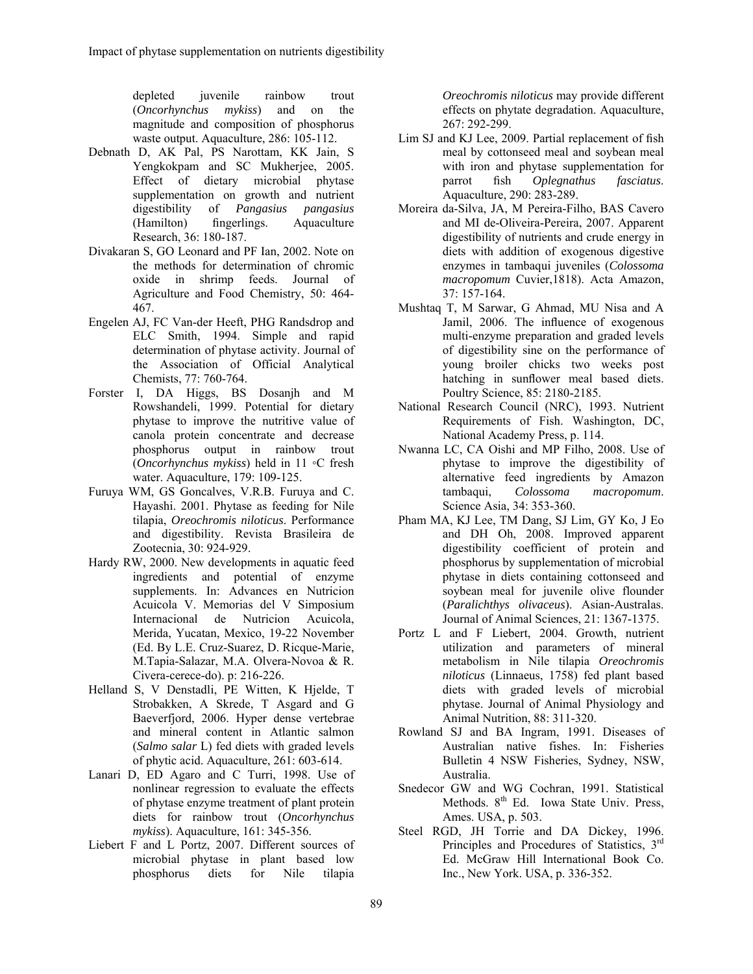depleted juvenile rainbow trout (*Oncorhynchus mykiss*) and on the magnitude and composition of phosphorus waste output. Aquaculture, 286: 105-112.

- Debnath D, AK Pal, PS Narottam, KK Jain, S Yengkokpam and SC Mukherjee, 2005. Effect of dietary microbial phytase supplementation on growth and nutrient digestibility of *Pangasius pangasius* (Hamilton) fingerlings. Research, 36: 180-187.
- Divakaran S, GO Leonard and PF Ian, 2002. Note on the methods for determination of chromic oxide in shrimp feeds. Journal of Agriculture and Food Chemistry, 50: 464- 467.
- Engelen AJ, FC Van-der Heeft, PHG Randsdrop and ELC Smith, 1994. Simple and rapid determination of phytase activity. Journal of the Association of Official Analytical Chemists, 77: 760-764.
- Forster I, DA Higgs, BS Dosanjh and M Rowshandeli, 1999. Potential for dietary phytase to improve the nutritive value of canola protein concentrate and decrease phosphorus output in rainbow trout (*Oncorhynchus mykiss*) held in 11 ◦C fresh water. Aquaculture, 179: 109-125.
- Furuya WM, GS Goncalves, V.R.B. Furuya and C. Hayashi. 2001. Phytase as feeding for Nile tilapia, *Oreochromis niloticus*. Performance and digestibility. Revista Brasileira de Zootecnia, 30: 924-929.
- Hardy RW, 2000. New developments in aquatic feed ingredients and potential of enzyme supplements. In: Advances en Nutricion Acuicola V. Memorias del V Simposium Internacional de Nutricion Acuicola, Merida, Yucatan, Mexico, 19-22 November (Ed. By L.E. Cruz-Suarez, D. Ricque-Marie, M.Tapia-Salazar, M.A. Olvera-Novoa & R. Civera-cerece-do). p: 216-226.
- Helland S, V Denstadli, PE Witten, K Hjelde, T Strobakken, A Skrede, T Asgard and G Baeverfjord, 2006. Hyper dense vertebrae and mineral content in Atlantic salmon (*Salmo salar* L) fed diets with graded levels of phytic acid. Aquaculture, 261: 603-614.
- Lanari D, ED Agaro and C Turri, 1998. Use of nonlinear regression to evaluate the effects of phytase enzyme treatment of plant protein diets for rainbow trout (*Oncorhynchus mykiss*). Aquaculture, 161: 345-356.
- Liebert F and L Portz, 2007. Different sources of microbial phytase in plant based low phosphorus diets for Nile tilapia

*Oreochromis niloticus* may provide different effects on phytate degradation. Aquaculture, 267: 292-299.

- Lim SJ and KJ Lee, 2009. Partial replacement of fish meal by cottonseed meal and soybean meal with iron and phytase supplementation for parrot fish *Oplegnathus fasciatus*. Aquaculture, 290: 283-289.
- Moreira da-Silva, JA, M Pereira-Filho, BAS Cavero and MI de-Oliveira-Pereira, 2007. Apparent digestibility of nutrients and crude energy in diets with addition of exogenous digestive enzymes in tambaqui juveniles (*Colossoma macropomum* Cuvier,1818). Acta Amazon, 37: 157-164.
- Mushtaq T, M Sarwar, G Ahmad, MU Nisa and A Jamil, 2006. The influence of exogenous multi-enzyme preparation and graded levels of digestibility sine on the performance of young broiler chicks two weeks post hatching in sunflower meal based diets. Poultry Science, 85: 2180-2185.
- National Research Council (NRC), 1993. Nutrient Requirements of Fish. Washington, DC, National Academy Press, p. 114.
- Nwanna LC, CA Oishi and MP Filho, 2008. Use of phytase to improve the digestibility of alternative feed ingredients by Amazon tambaqui, *Colossoma macropomum*. Science Asia, 34: 353-360.
- Pham MA, KJ Lee, TM Dang, SJ Lim, GY Ko, J Eo and DH Oh, 2008. Improved apparent digestibility coefficient of protein and phosphorus by supplementation of microbial phytase in diets containing cottonseed and soybean meal for juvenile olive flounder (*Paralichthys olivaceus*). Asian-Australas. Journal of Animal Sciences, 21: 1367-1375.
- Portz L and F Liebert, 2004. Growth, nutrient utilization and parameters of mineral metabolism in Nile tilapia *Oreochromis niloticus* (Linnaeus, 1758) fed plant based diets with graded levels of microbial phytase. Journal of Animal Physiology and Animal Nutrition, 88: 311-320.
- Rowland SJ and BA Ingram, 1991. Diseases of Australian native fishes. In: Fisheries Bulletin 4 NSW Fisheries, Sydney, NSW, Australia.
- Snedecor GW and WG Cochran, 1991. Statistical Methods.  $8<sup>th</sup>$  Ed. Iowa State Univ. Press, Ames. USA, p. 503.
- Steel RGD, JH Torrie and DA Dickey, 1996. Principles and Procedures of Statistics, 3rd Ed. McGraw Hill International Book Co. Inc., New York. USA, p. 336-352.